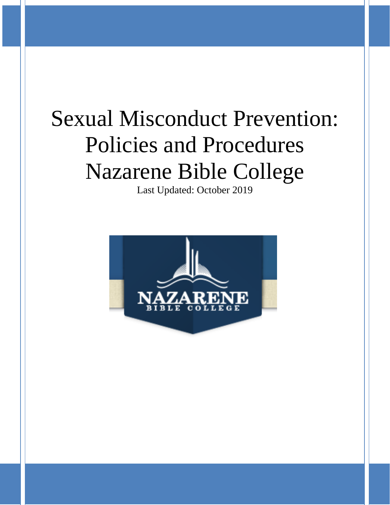# Sexual Misconduct Prevention: Policies and Procedures Nazarene Bible College

Last Updated: October 2019

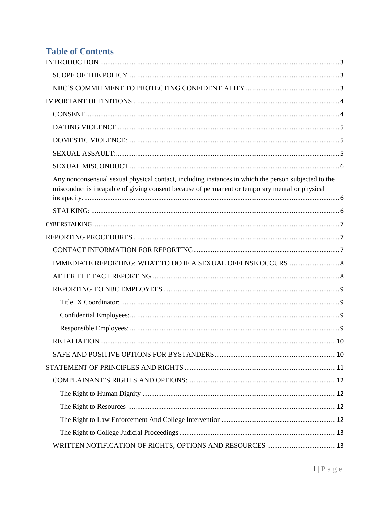# **Table of Contents**

| Any nonconsensual sexual physical contact, including instances in which the person subjected to the<br>misconduct is incapable of giving consent because of permanent or temporary mental or physical |  |
|-------------------------------------------------------------------------------------------------------------------------------------------------------------------------------------------------------|--|
|                                                                                                                                                                                                       |  |
|                                                                                                                                                                                                       |  |
|                                                                                                                                                                                                       |  |
|                                                                                                                                                                                                       |  |
|                                                                                                                                                                                                       |  |
|                                                                                                                                                                                                       |  |
|                                                                                                                                                                                                       |  |
|                                                                                                                                                                                                       |  |
|                                                                                                                                                                                                       |  |
|                                                                                                                                                                                                       |  |
|                                                                                                                                                                                                       |  |
|                                                                                                                                                                                                       |  |
|                                                                                                                                                                                                       |  |
|                                                                                                                                                                                                       |  |
|                                                                                                                                                                                                       |  |
|                                                                                                                                                                                                       |  |
|                                                                                                                                                                                                       |  |
|                                                                                                                                                                                                       |  |
|                                                                                                                                                                                                       |  |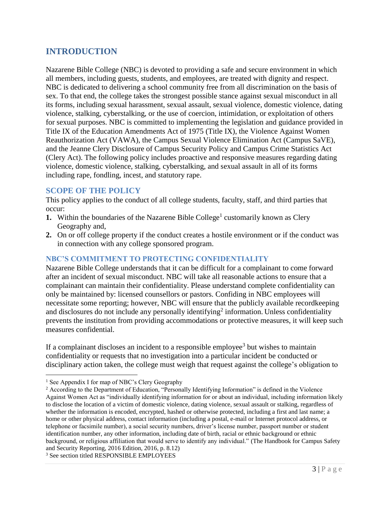# <span id="page-3-0"></span>**INTRODUCTION**

Nazarene Bible College (NBC) is devoted to providing a safe and secure environment in which all members, including guests, students, and employees, are treated with dignity and respect. NBC is dedicated to delivering a school community free from all discrimination on the basis of sex. To that end, the college takes the strongest possible stance against sexual misconduct in all its forms, including sexual harassment, sexual assault, sexual violence, domestic violence, dating violence, stalking, cyberstalking, or the use of coercion, intimidation, or exploitation of others for sexual purposes. NBC is committed to implementing the legislation and guidance provided in Title IX of the Education Amendments Act of 1975 (Title IX), the Violence Against Women Reauthorization Act (VAWA), the Campus Sexual Violence Elimination Act (Campus SaVE), and the Jeanne Clery Disclosure of Campus Security Policy and Campus Crime Statistics Act (Clery Act). The following policy includes proactive and responsive measures regarding dating violence, domestic violence, stalking, cyberstalking, and sexual assault in all of its forms including rape, fondling, incest, and statutory rape.

# <span id="page-3-1"></span>**SCOPE OF THE POLICY**

This policy applies to the conduct of all college students, faculty, staff, and third parties that occur:

- **1.** Within the boundaries of the Nazarene Bible College<sup>1</sup> customarily known as Clery Geography and,
- **2.** On or off college property if the conduct creates a hostile environment or if the conduct was in connection with any college sponsored program.

# <span id="page-3-2"></span>**NBC'S COMMITMENT TO PROTECTING CONFIDENTIALITY**

Nazarene Bible College understands that it can be difficult for a complainant to come forward after an incident of sexual misconduct. NBC will take all reasonable actions to ensure that a complainant can maintain their confidentiality. Please understand complete confidentiality can only be maintained by: licensed counsellors or pastors. Confiding in NBC employees will necessitate some reporting; however, NBC will ensure that the publicly available recordkeeping and disclosures do not include any personally identifying<sup>2</sup> information. Unless confidentiality prevents the institution from providing accommodations or protective measures, it will keep such measures confidential.

If a complainant discloses an incident to a responsible employee<sup>3</sup> but wishes to maintain confidentiality or requests that no investigation into a particular incident be conducted or disciplinary action taken, the college must weigh that request against the college's obligation to

<sup>&</sup>lt;sup>1</sup> See Appendix I for map of NBC's Clery Geography

<sup>&</sup>lt;sup>2</sup> According to the Department of Education, "Personally Identifying Information" is defined in the Violence Against Women Act as "individually identifying information for or about an individual, including information likely to disclose the location of a victim of domestic violence, dating violence, sexual assault or stalking, regardless of whether the information is encoded, encrypted, hashed or otherwise protected, including a first and last name; a home or other physical address, contact information (including a postal, e-mail or Internet protocol address, or telephone or facsimile number), a social security numbers, driver's license number, passport number or student identification number, any other information, including date of birth, racial or ethnic background or ethnic background, or religious affiliation that would serve to identify any individual." (The Handbook for Campus Safety and Security Reporting, 2016 Edition, 2016, p. 8.12)

<sup>3</sup> See section titled RESPONSIBLE EMPLOYEES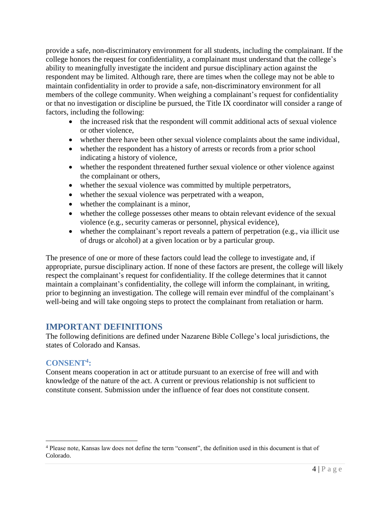provide a safe, non-discriminatory environment for all students, including the complainant. If the college honors the request for confidentiality, a complainant must understand that the college's ability to meaningfully investigate the incident and pursue disciplinary action against the respondent may be limited. Although rare, there are times when the college may not be able to maintain confidentiality in order to provide a safe, non-discriminatory environment for all members of the college community. When weighing a complainant's request for confidentiality or that no investigation or discipline be pursued, the Title IX coordinator will consider a range of factors, including the following:

- the increased risk that the respondent will commit additional acts of sexual violence or other violence,
- whether there have been other sexual violence complaints about the same individual,
- whether the respondent has a history of arrests or records from a prior school indicating a history of violence,
- whether the respondent threatened further sexual violence or other violence against the complainant or others,
- whether the sexual violence was committed by multiple perpetrators,
- whether the sexual violence was perpetrated with a weapon,
- whether the complainant is a minor,
- whether the college possesses other means to obtain relevant evidence of the sexual violence (e.g., security cameras or personnel, physical evidence),
- whether the complainant's report reveals a pattern of perpetration (e.g., via illicit use of drugs or alcohol) at a given location or by a particular group.

The presence of one or more of these factors could lead the college to investigate and, if appropriate, pursue disciplinary action. If none of these factors are present, the college will likely respect the complainant's request for confidentiality. If the college determines that it cannot maintain a complainant's confidentiality, the college will inform the complainant, in writing, prior to beginning an investigation. The college will remain ever mindful of the complainant's well-being and will take ongoing steps to protect the complainant from retaliation or harm.

# <span id="page-4-0"></span>**IMPORTANT DEFINITIONS**

The following definitions are defined under Nazarene Bible College's local jurisdictions, the states of Colorado and Kansas.

# <span id="page-4-1"></span>**CONSENT<sup>4</sup> :**

 $\overline{a}$ 

Consent means cooperation in act or attitude pursuant to an exercise of free will and with knowledge of the nature of the act. A current or previous relationship is not sufficient to constitute consent. Submission under the influence of fear does not constitute consent.

<sup>4</sup> Please note, Kansas law does not define the term "consent", the definition used in this document is that of Colorado.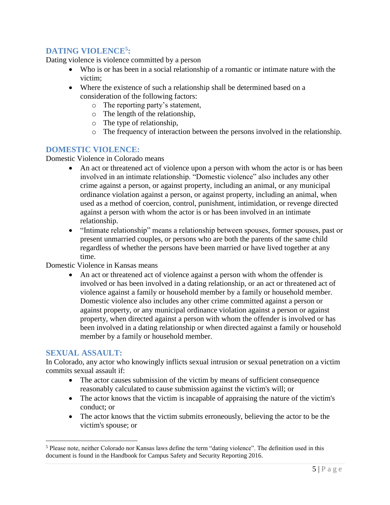# <span id="page-5-0"></span>**DATING VIOLENCE<sup>5</sup> :**

Dating violence is violence committed by a person

- Who is or has been in a social relationship of a romantic or intimate nature with the victim;
- Where the existence of such a relationship shall be determined based on a consideration of the following factors:
	- o The reporting party's statement,
	- o The length of the relationship,
	- o The type of relationship,
	- o The frequency of interaction between the persons involved in the relationship.

# <span id="page-5-1"></span>**DOMESTIC VIOLENCE:**

Domestic Violence in Colorado means

- An act or threatened act of violence upon a person with whom the actor is or has been involved in an intimate relationship. "Domestic violence" also includes any other crime against a person, or against property, including an animal, or any municipal ordinance violation against a person, or against property, including an animal, when used as a method of coercion, control, punishment, intimidation, or revenge directed against a person with whom the actor is or has been involved in an intimate relationship.
- "Intimate relationship" means a relationship between spouses, former spouses, past or present unmarried couples, or persons who are both the parents of the same child regardless of whether the persons have been married or have lived together at any time.

Domestic Violence in Kansas means

• An act or threatened act of violence against a person with whom the offender is involved or has been involved in a dating relationship, or an act or threatened act of violence against a family or household member by a family or household member. Domestic violence also includes any other crime committed against a person or against property, or any municipal ordinance violation against a person or against property, when directed against a person with whom the offender is involved or has been involved in a dating relationship or when directed against a family or household member by a family or household member.

# <span id="page-5-2"></span>**SEXUAL ASSAULT:**

 $\overline{a}$ 

In Colorado, any actor who knowingly inflicts sexual intrusion or sexual penetration on a victim commits sexual assault if:

- The actor causes submission of the victim by means of sufficient consequence reasonably calculated to cause submission against the victim's will; or
- The actor knows that the victim is incapable of appraising the nature of the victim's conduct; or
- The actor knows that the victim submits erroneously, believing the actor to be the victim's spouse; or

<sup>5</sup> Please note, neither Colorado nor Kansas laws define the term "dating violence". The definition used in this document is found in the Handbook for Campus Safety and Security Reporting 2016.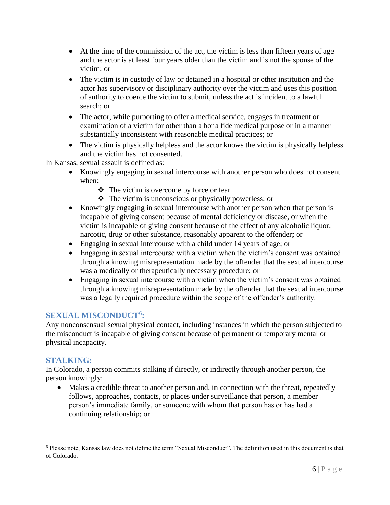- At the time of the commission of the act, the victim is less than fifteen years of age and the actor is at least four years older than the victim and is not the spouse of the victim; or
- The victim is in custody of law or detained in a hospital or other institution and the actor has supervisory or disciplinary authority over the victim and uses this position of authority to coerce the victim to submit, unless the act is incident to a lawful search; or
- The actor, while purporting to offer a medical service, engages in treatment or examination of a victim for other than a bona fide medical purpose or in a manner substantially inconsistent with reasonable medical practices; or
- The victim is physically helpless and the actor knows the victim is physically helpless and the victim has not consented.

In Kansas, sexual assault is defined as:

- Knowingly engaging in sexual intercourse with another person who does not consent when:
	- ❖ The victim is overcome by force or fear
	- ❖ The victim is unconscious or physically powerless; or
- Knowingly engaging in sexual intercourse with another person when that person is incapable of giving consent because of mental deficiency or disease, or when the victim is incapable of giving consent because of the effect of any alcoholic liquor, narcotic, drug or other substance, reasonably apparent to the offender; or
- Engaging in sexual intercourse with a child under 14 years of age; or
- Engaging in sexual intercourse with a victim when the victim's consent was obtained through a knowing misrepresentation made by the offender that the sexual intercourse was a medically or therapeutically necessary procedure; or
- Engaging in sexual intercourse with a victim when the victim's consent was obtained through a knowing misrepresentation made by the offender that the sexual intercourse was a legally required procedure within the scope of the offender's authority.

# <span id="page-6-0"></span>**SEXUAL MISCONDUCT<sup>6</sup> :**

<span id="page-6-1"></span>Any nonconsensual sexual physical contact, including instances in which the person subjected to the misconduct is incapable of giving consent because of permanent or temporary mental or physical incapacity.

# <span id="page-6-2"></span>**STALKING:**

 $\overline{a}$ 

In Colorado, a person commits stalking if directly, or indirectly through another person, the person knowingly:

• Makes a credible threat to another person and, in connection with the threat, repeatedly follows, approaches, contacts, or places under surveillance that person, a member person's immediate family, or someone with whom that person has or has had a continuing relationship; or

<sup>6</sup> Please note, Kansas law does not define the term "Sexual Misconduct". The definition used in this document is that of Colorado.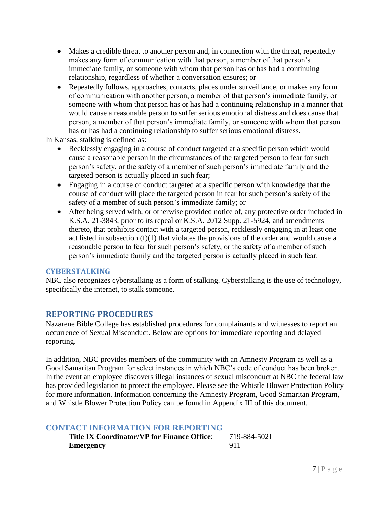- Makes a credible threat to another person and, in connection with the threat, repeatedly makes any form of communication with that person, a member of that person's immediate family, or someone with whom that person has or has had a continuing relationship, regardless of whether a conversation ensures; or
- Repeatedly follows, approaches, contacts, places under surveillance, or makes any form of communication with another person, a member of that person's immediate family, or someone with whom that person has or has had a continuing relationship in a manner that would cause a reasonable person to suffer serious emotional distress and does cause that person, a member of that person's immediate family, or someone with whom that person has or has had a continuing relationship to suffer serious emotional distress.

In Kansas, stalking is defined as:

- Recklessly engaging in a course of conduct targeted at a specific person which would cause a reasonable person in the circumstances of the targeted person to fear for such person's safety, or the safety of a member of such person's immediate family and the targeted person is actually placed in such fear;
- Engaging in a course of conduct targeted at a specific person with knowledge that the course of conduct will place the targeted person in fear for such person's safety of the safety of a member of such person's immediate family; or
- After being served with, or otherwise provided notice of, any protective order included in K.S.A. 21-3843, prior to its repeal or K.S.A. 2012 Supp. 21-5924, and amendments thereto, that prohibits contact with a targeted person, recklessly engaging in at least one act listed in subsection  $(f)(1)$  that violates the provisions of the order and would cause a reasonable person to fear for such person's safety, or the safety of a member of such person's immediate family and the targeted person is actually placed in such fear.

# <span id="page-7-0"></span>**CYBERSTALKING**

NBC also recognizes cyberstalking as a form of stalking. Cyberstalking is the use of technology, specifically the internet, to stalk someone.

# <span id="page-7-1"></span>**REPORTING PROCEDURES**

Nazarene Bible College has established procedures for complainants and witnesses to report an occurrence of Sexual Misconduct. Below are options for immediate reporting and delayed reporting.

In addition, NBC provides members of the community with an Amnesty Program as well as a Good Samaritan Program for select instances in which NBC's code of conduct has been broken. In the event an employee discovers illegal instances of sexual misconduct at NBC the federal law has provided legislation to protect the employee. Please see the Whistle Blower Protection Policy for more information. Information concerning the Amnesty Program, Good Samaritan Program, and Whistle Blower Protection Policy can be found in Appendix III of this document.

# <span id="page-7-2"></span>**CONTACT INFORMATION FOR REPORTING**

| <b>Title IX Coordinator/VP for Finance Office:</b> | 719-884-5021 |
|----------------------------------------------------|--------------|
| <b>Emergency</b>                                   | -911         |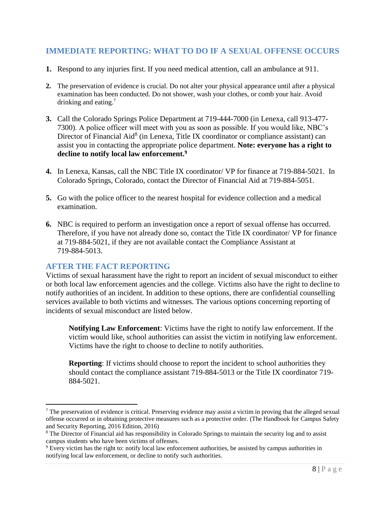# <span id="page-8-0"></span>**IMMEDIATE REPORTING: WHAT TO DO IF A SEXUAL OFFENSE OCCURS**

- **1.** Respond to any injuries first. If you need medical attention, call an ambulance at 911.
- **2.** The preservation of evidence is crucial. Do not alter your physical appearance until after a physical examination has been conducted. Do not shower, wash your clothes, or comb your hair. Avoid drinking and eating.<sup>7</sup>
- **3.** Call the Colorado Springs Police Department at 719-444-7000 (in Lenexa, call 913-477- 7300). A police officer will meet with you as soon as possible. If you would like, NBC's Director of Financial Aid<sup>8</sup> (in Lenexa, Title IX coordinator or compliance assistant) can assist you in contacting the appropriate police department. **Note: everyone has a right to decline to notify local law enforcement.<sup>9</sup>**
- **4.** In Lenexa, Kansas, call the NBC Title IX coordinator/ VP for finance at 719-884-5021. In Colorado Springs, Colorado, contact the Director of Financial Aid at 719-884-5051.
- **5.** Go with the police officer to the nearest hospital for evidence collection and a medical examination.
- **6.** NBC is required to perform an investigation once a report of sexual offense has occurred. Therefore, if you have not already done so, contact the Title IX coordinator/ VP for finance at 719-884-5021, if they are not available contact the Compliance Assistant at 719-884-5013.

# <span id="page-8-1"></span>**AFTER THE FACT REPORTING**

 $\overline{a}$ 

Victims of sexual harassment have the right to report an incident of sexual misconduct to either or both local law enforcement agencies and the college. Victims also have the right to decline to notify authorities of an incident. In addition to these options, there are confidential counselling services available to both victims and witnesses. The various options concerning reporting of incidents of sexual misconduct are listed below.

**Notifying Law Enforcement**: Victims have the right to notify law enforcement. If the victim would like, school authorities can assist the victim in notifying law enforcement. Victims have the right to choose to decline to notify authorities.

**Reporting**: If victims should choose to report the incident to school authorities they should contact the compliance assistant 719-884-5013 or the Title IX coordinator 719- 884-5021.

 $<sup>7</sup>$  The preservation of evidence is critical. Preserving evidence may assist a victim in proving that the alleged sexual</sup> offense occurred or in obtaining protective measures such as a protective order. (The Handbook for Campus Safety and Security Reporting, 2016 Edition, 2016)

<sup>&</sup>lt;sup>8</sup> The Director of Financial aid has responsibility in Colorado Springs to maintain the security log and to assist campus students who have been victims of offenses.

 $9$  Every victim has the right to: notify local law enforcement authorities, be assisted by campus authorities in notifying local law enforcement, or decline to notify such authorities.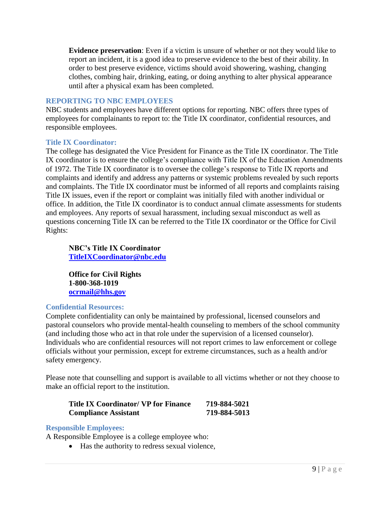**Evidence preservation**: Even if a victim is unsure of whether or not they would like to report an incident, it is a good idea to preserve evidence to the best of their ability. In order to best preserve evidence, victims should avoid showering, washing, changing clothes, combing hair, drinking, eating, or doing anything to alter physical appearance until after a physical exam has been completed.

# <span id="page-9-0"></span>**REPORTING TO NBC EMPLOYEES**

NBC students and employees have different options for reporting. NBC offers three types of employees for complainants to report to: the Title IX coordinator, confidential resources, and responsible employees.

# <span id="page-9-1"></span>**Title IX Coordinator:**

The college has designated the Vice President for Finance as the Title IX coordinator. The Title IX coordinator is to ensure the college's compliance with Title IX of the Education Amendments of 1972. The Title IX coordinator is to oversee the college's response to Title IX reports and complaints and identify and address any patterns or systemic problems revealed by such reports and complaints. The Title IX coordinator must be informed of all reports and complaints raising Title IX issues, even if the report or complaint was initially filed with another individual or office. In addition, the Title IX coordinator is to conduct annual climate assessments for students and employees. Any reports of sexual harassment, including sexual misconduct as well as questions concerning Title IX can be referred to the Title IX coordinator or the Office for Civil Rights:

**NBC's Title IX Coordinator [TitleIXCoordinator@nbc.edu](mailto:TitleIXCoordinator@nbc.edu)**

**Office for Civil Rights 1-800-368-1019 [ocrmail@hhs.gov](mailto:ocrmail@hhs.gov)**

#### <span id="page-9-2"></span>**Confidential Resources:**

Complete confidentiality can only be maintained by professional, licensed counselors and pastoral counselors who provide mental-health counseling to members of the school community (and including those who act in that role under the supervision of a licensed counselor). Individuals who are confidential resources will not report crimes to law enforcement or college officials without your permission, except for extreme circumstances, such as a health and/or safety emergency.

Please note that counselling and support is available to all victims whether or not they choose to make an official report to the institution.

| Title IX Coordinator/VP for Finance | 719-884-5021 |
|-------------------------------------|--------------|
| <b>Compliance Assistant</b>         | 719-884-5013 |

#### <span id="page-9-3"></span>**Responsible Employees:**

A Responsible Employee is a college employee who:

• Has the authority to redress sexual violence,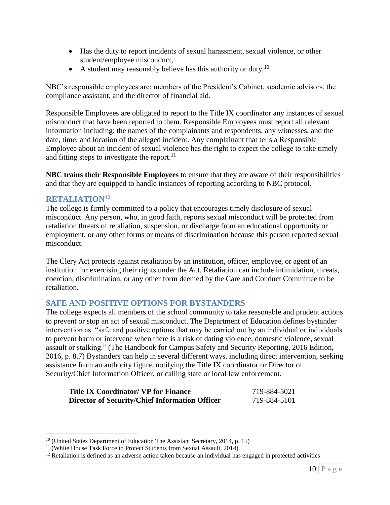- Has the duty to report incidents of sexual harassment, sexual violence, or other student/employee misconduct,
- A student may reasonably believe has this authority or duty.<sup>10</sup>

NBC's responsible employees are: members of the President's Cabinet, academic advisors, the compliance assistant, and the director of financial aid.

Responsible Employees are obligated to report to the Title IX coordinator any instances of sexual misconduct that have been reported to them. Responsible Employees must report all relevant information including: the names of the complainants and respondents, any witnesses, and the date, time, and location of the alleged incident. Any complainant that tells a Responsible Employee about an incident of sexual violence has the right to expect the college to take timely and fitting steps to investigate the report. $11$ 

**NBC trains their Responsible Employees** to ensure that they are aware of their responsibilities and that they are equipped to handle instances of reporting according to NBC protocol.

# <span id="page-10-0"></span>**RETALIATION<sup>12</sup>**

 $\overline{a}$ 

The college is firmly committed to a policy that encourages timely disclosure of sexual misconduct. Any person, who, in good faith, reports sexual misconduct will be protected from retaliation threats of retaliation, suspension, or discharge from an educational opportunity or employment, or any other forms or means of discrimination because this person reported sexual misconduct.

The Clery Act protects against retaliation by an institution, officer, employee, or agent of an institution for exercising their rights under the Act. Retaliation can include intimidation, threats, coercion, discrimination, or any other form deemed by the Care and Conduct Committee to be retaliation.

# <span id="page-10-1"></span>**SAFE AND POSITIVE OPTIONS FOR BYSTANDERS**

The college expects all members of the school community to take reasonable and prudent actions to prevent or stop an act of sexual misconduct. The Department of Education defines bystander intervention as: "safe and positive options that may be carried out by an individual or individuals to prevent harm or intervene when there is a risk of dating violence, domestic violence, sexual assault or stalking." (The Handbook for Campus Safety and Security Reporting, 2016 Edition, 2016, p. 8.7) Bystanders can help in several different ways, including direct intervention, seeking assistance from an authority figure, notifying the Title IX coordinator or Director of Security/Chief Information Officer, or calling state or local law enforcement.

| <b>Title IX Coordinator/ VP for Finance</b>           | 719-884-5021 |
|-------------------------------------------------------|--------------|
| <b>Director of Security/Chief Information Officer</b> | 719-884-5101 |

<sup>&</sup>lt;sup>10</sup> (United States Department of Education The Assistant Secretary, 2014, p. 15)

<sup>&</sup>lt;sup>11</sup> (White House Task Force to Protect Students from Sexual Assault, 2014)

 $12$  Retaliation is defined as an adverse action taken because an individual has engaged in protected activities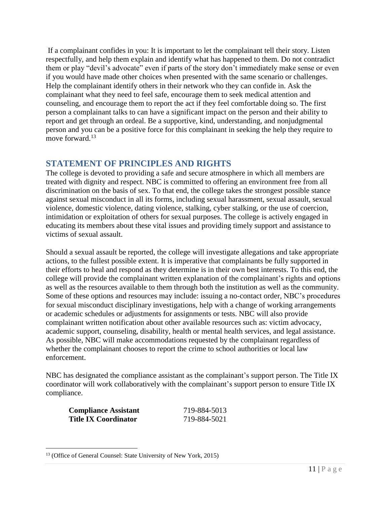If a complainant confides in you: It is important to let the complainant tell their story. Listen respectfully, and help them explain and identify what has happened to them. Do not contradict them or play "devil's advocate" even if parts of the story don't immediately make sense or even if you would have made other choices when presented with the same scenario or challenges. Help the complainant identify others in their network who they can confide in. Ask the complainant what they need to feel safe, encourage them to seek medical attention and counseling, and encourage them to report the act if they feel comfortable doing so. The first person a complainant talks to can have a significant impact on the person and their ability to report and get through an ordeal. Be a supportive, kind, understanding, and nonjudgmental person and you can be a positive force for this complainant in seeking the help they require to move forward  $^{13}$ 

# <span id="page-11-0"></span>**STATEMENT OF PRINCIPLES AND RIGHTS**

The college is devoted to providing a safe and secure atmosphere in which all members are treated with dignity and respect. NBC is committed to offering an environment free from all discrimination on the basis of sex. To that end, the college takes the strongest possible stance against sexual misconduct in all its forms, including sexual harassment, sexual assault, sexual violence, domestic violence, dating violence, stalking, cyber stalking, or the use of coercion, intimidation or exploitation of others for sexual purposes. The college is actively engaged in educating its members about these vital issues and providing timely support and assistance to victims of sexual assault.

Should a sexual assault be reported, the college will investigate allegations and take appropriate actions, to the fullest possible extent. It is imperative that complainants be fully supported in their efforts to heal and respond as they determine is in their own best interests. To this end, the college will provide the complainant written explanation of the complainant's rights and options as well as the resources available to them through both the institution as well as the community. Some of these options and resources may include: issuing a no-contact order, NBC's procedures for sexual misconduct disciplinary investigations, help with a change of working arrangements or academic schedules or adjustments for assignments or tests. NBC will also provide complainant written notification about other available resources such as: victim advocacy, academic support, counseling, disability, health or mental health services, and legal assistance. As possible, NBC will make accommodations requested by the complainant regardless of whether the complainant chooses to report the crime to school authorities or local law enforcement.

NBC has designated the compliance assistant as the complainant's support person. The Title IX coordinator will work collaboratively with the complainant's support person to ensure Title IX compliance.

| <b>Compliance Assistant</b> | 719-884-5013 |
|-----------------------------|--------------|
| <b>Title IX Coordinator</b> | 719-884-5021 |

<sup>&</sup>lt;sup>13</sup> (Office of General Counsel: State University of New York, 2015)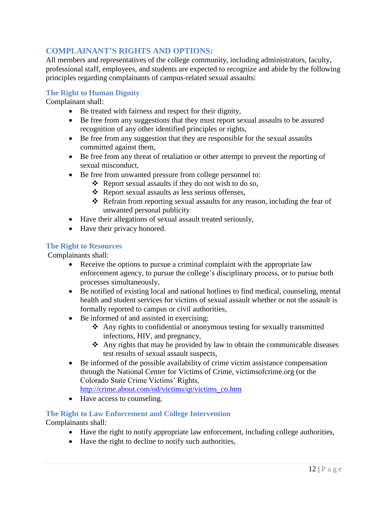# <span id="page-12-0"></span>**COMPLAINANT'S RIGHTS AND OPTIONS:**

All members and representatives of the college community, including administrators, faculty, professional staff, employees, and students are expected to recognize and abide by the following principles regarding complainants of campus-related sexual assaults:

### <span id="page-12-1"></span>**The Right to Human Dignity**

Complainant shall:

- Be treated with fairness and respect for their dignity,
- Be free from any suggestions that they must report sexual assaults to be assured recognition of any other identified principles or rights,
- Be free from any suggestion that they are responsible for the sexual assaults committed against them,
- Be free from any threat of retaliation or other attempt to prevent the reporting of sexual misconduct,
- Be free from unwanted pressure from college personnel to:
	- ❖ Report sexual assaults if they do not wish to do so,
	- ❖ Report sexual assaults as less serious offenses,
	- ❖ Refrain from reporting sexual assaults for any reason, including the fear of unwanted personal publicity
- Have their allegations of sexual assault treated seriously,
- Have their privacy honored.

#### <span id="page-12-2"></span>**The Right to Resources**

Complainants shall:

- Receive the options to pursue a criminal complaint with the appropriate law enforcement agency, to pursue the college's disciplinary process, or to pursue both processes simultaneously,
- Be notified of existing local and national hotlines to find medical, counseling, mental health and student services for victims of sexual assault whether or not the assault is formally reported to campus or civil authorities,
- Be informed of and assisted in exercising:
	- ❖ Any rights to confidential or anonymous testing for sexually transmitted infections, HIV, and pregnancy,
	- ❖ Any rights that may be provided by law to obtain the communicable diseases test results of sexual assault suspects,
- Be informed of the possible availability of crime victim assistance compensation through the National Center for Victims of Crime, victimsofcrime.org (or the Colorado State Crime Victims' Rights, [http://crime.about.com/od/victims/qt/victims\\_co.htm](http://crime.about.com/od/victims/qt/victims_co.htm)
- Have access to counseling.

# <span id="page-12-3"></span>**The Right to Law Enforcement and College Intervention**

Complainants shall:

- Have the right to notify appropriate law enforcement, including college authorities,
- Have the right to decline to notify such authorities,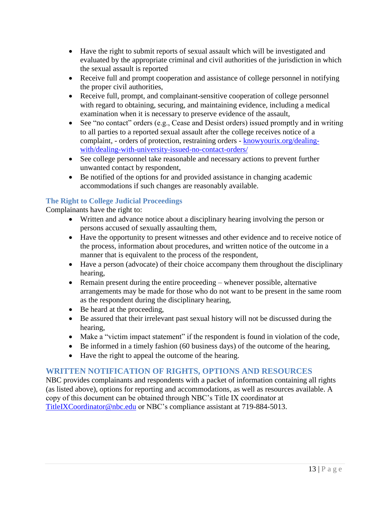- Have the right to submit reports of sexual assault which will be investigated and evaluated by the appropriate criminal and civil authorities of the jurisdiction in which the sexual assault is reported
- Receive full and prompt cooperation and assistance of college personnel in notifying the proper civil authorities,
- Receive full, prompt, and complainant-sensitive cooperation of college personnel with regard to obtaining, securing, and maintaining evidence, including a medical examination when it is necessary to preserve evidence of the assault,
- See "no contact" orders (e.g., Cease and Desist orders) issued promptly and in writing to all parties to a reported sexual assault after the college receives notice of a complaint, - orders of protection, restraining orders - [knowyourix.org/dealing](file:///C:/Users/MDAvery/AppData/Local/Microsoft/Windows/INetCache/Content.Outlook/YAZSU0ZD/knowyourix.org/dealing-with/dealing-with-university-issued-no-contact-orders/)[with/dealing-with-university-issued-no-contact-orders/](file:///C:/Users/MDAvery/AppData/Local/Microsoft/Windows/INetCache/Content.Outlook/YAZSU0ZD/knowyourix.org/dealing-with/dealing-with-university-issued-no-contact-orders/)
- See college personnel take reasonable and necessary actions to prevent further unwanted contact by respondent,
- Be notified of the options for and provided assistance in changing academic accommodations if such changes are reasonably available.

# <span id="page-13-0"></span>**The Right to College Judicial Proceedings**

Complainants have the right to:

- Written and advance notice about a disciplinary hearing involving the person or persons accused of sexually assaulting them,
- Have the opportunity to present witnesses and other evidence and to receive notice of the process, information about procedures, and written notice of the outcome in a manner that is equivalent to the process of the respondent,
- Have a person (advocate) of their choice accompany them throughout the disciplinary hearing,
- Remain present during the entire proceeding whenever possible, alternative arrangements may be made for those who do not want to be present in the same room as the respondent during the disciplinary hearing,
- Be heard at the proceeding,
- Be assured that their irrelevant past sexual history will not be discussed during the hearing,
- Make a "victim impact statement" if the respondent is found in violation of the code,
- Be informed in a timely fashion (60 business days) of the outcome of the hearing,
- Have the right to appeal the outcome of the hearing.

# <span id="page-13-1"></span>**WRITTEN NOTIFICATION OF RIGHTS, OPTIONS AND RESOURCES**

NBC provides complainants and respondents with a packet of information containing all rights (as listed above), options for reporting and accommodations, as well as resources available. A copy of this document can be obtained through NBC's Title IX coordinator at [TitleIXCoordinator@nbc.edu](mailto:TitleIXCoordinator@nbc.edu) or NBC's compliance assistant at 719-884-5013.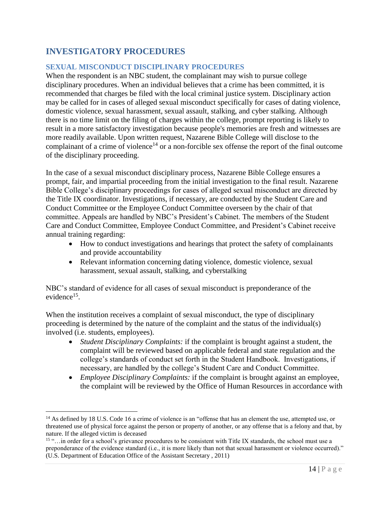# <span id="page-14-0"></span>**INVESTIGATORY PROCEDURES**

 $\overline{a}$ 

# <span id="page-14-1"></span>**SEXUAL MISCONDUCT DISCIPLINARY PROCEDURES**

When the respondent is an NBC student, the complainant may wish to pursue college disciplinary procedures. When an individual believes that a crime has been committed, it is recommended that charges be filed with the local criminal justice system. Disciplinary action may be called for in cases of alleged sexual misconduct specifically for cases of dating violence, domestic violence, sexual harassment, sexual assault, stalking, and cyber stalking. Although there is no time limit on the filing of charges within the college, prompt reporting is likely to result in a more satisfactory investigation because people's memories are fresh and witnesses are more readily available. Upon written request, Nazarene Bible College will disclose to the complainant of a crime of violence<sup>14</sup> or a non-forcible sex offense the report of the final outcome of the disciplinary proceeding.

In the case of a sexual misconduct disciplinary process, Nazarene Bible College ensures a prompt, fair, and impartial proceeding from the initial investigation to the final result. Nazarene Bible College's disciplinary proceedings for cases of alleged sexual misconduct are directed by the Title IX coordinator. Investigations, if necessary, are conducted by the Student Care and Conduct Committee or the Employee Conduct Committee overseen by the chair of that committee. Appeals are handled by NBC's President's Cabinet. The members of the Student Care and Conduct Committee, Employee Conduct Committee, and President's Cabinet receive annual training regarding:

- How to conduct investigations and hearings that protect the safety of complainants and provide accountability
- Relevant information concerning dating violence, domestic violence, sexual harassment, sexual assault, stalking, and cyberstalking

NBC's standard of evidence for all cases of sexual misconduct is preponderance of the evidence<sup>15</sup>.

When the institution receives a complaint of sexual misconduct, the type of disciplinary proceeding is determined by the nature of the complaint and the status of the individual(s) involved (i.e. students, employees).

- *Student Disciplinary Complaints:* if the complaint is brought against a student, the complaint will be reviewed based on applicable federal and state regulation and the college's standards of conduct set forth in the Student Handbook. Investigations, if necessary, are handled by the college's Student Care and Conduct Committee.
- *Employee Disciplinary Complaints:* if the complaint is brought against an employee, the complaint will be reviewed by the Office of Human Resources in accordance with

 $14$  As defined by 18 U.S. Code 16 a crime of violence is an "offense that has an element the use, attempted use, or threatened use of physical force against the person or property of another, or any offense that is a felony and that, by nature. If the alleged victim is deceased

<sup>&</sup>lt;sup>15</sup> "... in order for a school's grievance procedures to be consistent with Title IX standards, the school must use a preponderance of the evidence standard (i.e., it is more likely than not that sexual harassment or violence occurred)." (U.S. Department of Education Office of the Assistant Secretary , 2011)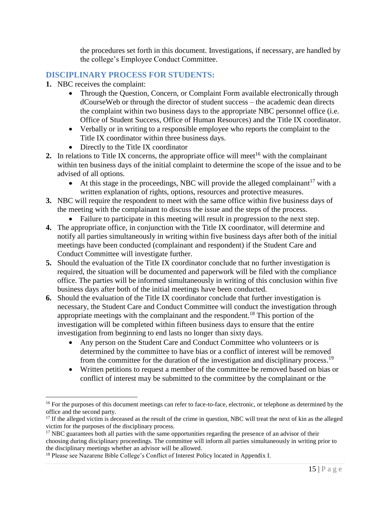the procedures set forth in this document. Investigations, if necessary, are handled by the college's Employee Conduct Committee.

# <span id="page-15-0"></span>**DISCIPLINARY PROCESS FOR STUDENTS:**

**1.** NBC receives the complaint:

- Through the Question, Concern, or Complaint Form available electronically through dCourseWeb or through the director of student success – the academic dean directs the complaint within two business days to the appropriate NBC personnel office (i.e. Office of Student Success, Office of Human Resources) and the Title IX coordinator.
- Verbally or in writing to a responsible employee who reports the complaint to the Title IX coordinator within three business days.
- Directly to the Title IX coordinator
- **2.** In relations to Title IX concerns, the appropriate office will meet<sup>16</sup> with the complainant within ten business days of the initial complaint to determine the scope of the issue and to be advised of all options.
	- At this stage in the proceedings, NBC will provide the alleged complainant<sup>17</sup> with a written explanation of rights, options, resources and protective measures.
- **3.** NBC will require the respondent to meet with the same office within five business days of the meeting with the complainant to discuss the issue and the steps of the process.
	- Failure to participate in this meeting will result in progression to the next step.
- **4.** The appropriate office, in conjunction with the Title IX coordinator, will determine and notify all parties simultaneously in writing within five business days after both of the initial meetings have been conducted (complainant and respondent) if the Student Care and Conduct Committee will investigate further.
- **5.** Should the evaluation of the Title IX coordinator conclude that no further investigation is required, the situation will be documented and paperwork will be filed with the compliance office. The parties will be informed simultaneously in writing of this conclusion within five business days after both of the initial meetings have been conducted.
- **6.** Should the evaluation of the Title IX coordinator conclude that further investigation is necessary, the Student Care and Conduct Committee will conduct the investigation through appropriate meetings with the complainant and the respondent.<sup>18</sup> This portion of the investigation will be completed within fifteen business days to ensure that the entire investigation from beginning to end lasts no longer than sixty days.
	- Any person on the Student Care and Conduct Committee who volunteers or is determined by the committee to have bias or a conflict of interest will be removed from the committee for the duration of the investigation and disciplinary process.<sup>19</sup>
	- Written petitions to request a member of the committee be removed based on bias or conflict of interest may be submitted to the committee by the complainant or the

<sup>&</sup>lt;sup>16</sup> For the purposes of this document meetings can refer to face-to-face, electronic, or telephone as determined by the office and the second party.

<sup>&</sup>lt;sup>17</sup> If the alleged victim is deceased as the result of the crime in question, NBC will treat the next of kin as the alleged victim for the purposes of the disciplinary process.

<sup>&</sup>lt;sup>17</sup> NBC guarantees both all parties with the same opportunities regarding the presence of an advisor of their choosing during disciplinary proceedings. The committee will inform all parties simultaneously in writing prior to the disciplinary meetings whether an advisor will be allowed.

<sup>&</sup>lt;sup>18</sup> Please see Nazarene Bible College's Conflict of Interest Policy located in Appendix I.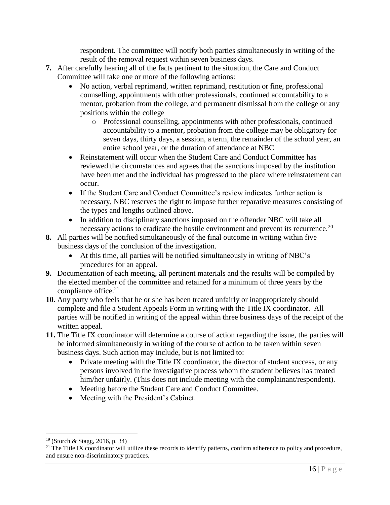respondent. The committee will notify both parties simultaneously in writing of the result of the removal request within seven business days.

- **7.** After carefully hearing all of the facts pertinent to the situation, the Care and Conduct Committee will take one or more of the following actions:
	- No action, verbal reprimand, written reprimand, restitution or fine, professional counselling, appointments with other professionals, continued accountability to a mentor, probation from the college, and permanent dismissal from the college or any positions within the college
		- o Professional counselling, appointments with other professionals, continued accountability to a mentor, probation from the college may be obligatory for seven days, thirty days, a session, a term, the remainder of the school year, an entire school year, or the duration of attendance at NBC
	- Reinstatement will occur when the Student Care and Conduct Committee has reviewed the circumstances and agrees that the sanctions imposed by the institution have been met and the individual has progressed to the place where reinstatement can occur.
	- If the Student Care and Conduct Committee's review indicates further action is necessary, NBC reserves the right to impose further reparative measures consisting of the types and lengths outlined above.
	- In addition to disciplinary sanctions imposed on the offender NBC will take all necessary actions to eradicate the hostile environment and prevent its recurrence.<sup>20</sup>
- **8.** All parties will be notified simultaneously of the final outcome in writing within five business days of the conclusion of the investigation.
	- At this time, all parties will be notified simultaneously in writing of NBC's procedures for an appeal.
- **9.** Documentation of each meeting, all pertinent materials and the results will be compiled by the elected member of the committee and retained for a minimum of three years by the compliance office. $2<sup>1</sup>$
- **10.** Any party who feels that he or she has been treated unfairly or inappropriately should complete and file a Student Appeals Form in writing with the Title IX coordinator. All parties will be notified in writing of the appeal within three business days of the receipt of the written appeal.
- **11.** The Title IX coordinator will determine a course of action regarding the issue, the parties will be informed simultaneously in writing of the course of action to be taken within seven business days. Such action may include, but is not limited to:
	- Private meeting with the Title IX coordinator, the director of student success, or any persons involved in the investigative process whom the student believes has treated him/her unfairly. (This does not include meeting with the complainant/respondent).
	- Meeting before the Student Care and Conduct Committee.
	- Meeting with the President's Cabinet.

<sup>19</sup> (Storch & Stagg, 2016, p. 34)

<sup>&</sup>lt;sup>21</sup> The Title IX coordinator will utilize these records to identify patterns, confirm adherence to policy and procedure, and ensure non-discriminatory practices.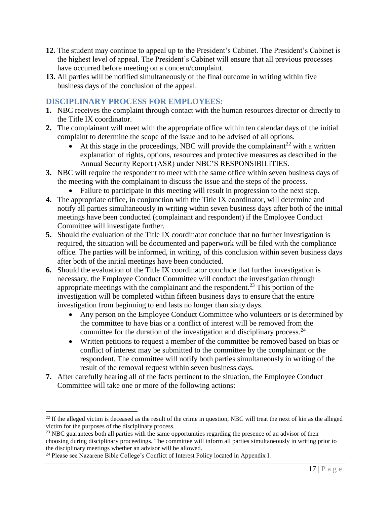- **12.** The student may continue to appeal up to the President's Cabinet. The President's Cabinet is the highest level of appeal. The President's Cabinet will ensure that all previous processes have occurred before meeting on a concern/complaint.
- **13.** All parties will be notified simultaneously of the final outcome in writing within five business days of the conclusion of the appeal.

# <span id="page-17-0"></span>**DISCIPLINARY PROCESS FOR EMPLOYEES:**

- **1.** NBC receives the complaint through contact with the human resources director or directly to the Title IX coordinator.
- **2.** The complainant will meet with the appropriate office within ten calendar days of the initial complaint to determine the scope of the issue and to be advised of all options.
	- At this stage in the proceedings, NBC will provide the complainant<sup>22</sup> with a written explanation of rights, options, resources and protective measures as described in the Annual Security Report (ASR) under NBC'S RESPONSIBILITIES.
- **3.** NBC will require the respondent to meet with the same office within seven business days of the meeting with the complainant to discuss the issue and the steps of the process.
	- Failure to participate in this meeting will result in progression to the next step.
- **4.** The appropriate office, in conjunction with the Title IX coordinator, will determine and notify all parties simultaneously in writing within seven business days after both of the initial meetings have been conducted (complainant and respondent) if the Employee Conduct Committee will investigate further.
- **5.** Should the evaluation of the Title IX coordinator conclude that no further investigation is required, the situation will be documented and paperwork will be filed with the compliance office. The parties will be informed, in writing, of this conclusion within seven business days after both of the initial meetings have been conducted.
- **6.** Should the evaluation of the Title IX coordinator conclude that further investigation is necessary, the Employee Conduct Committee will conduct the investigation through appropriate meetings with the complainant and the respondent.<sup>23</sup> This portion of the investigation will be completed within fifteen business days to ensure that the entire investigation from beginning to end lasts no longer than sixty days.
	- Any person on the Employee Conduct Committee who volunteers or is determined by the committee to have bias or a conflict of interest will be removed from the committee for the duration of the investigation and disciplinary process.<sup>24</sup>
	- Written petitions to request a member of the committee be removed based on bias or conflict of interest may be submitted to the committee by the complainant or the respondent. The committee will notify both parties simultaneously in writing of the result of the removal request within seven business days.
- **7.** After carefully hearing all of the facts pertinent to the situation, the Employee Conduct Committee will take one or more of the following actions:

 $22$  If the alleged victim is deceased as the result of the crime in question, NBC will treat the next of kin as the alleged victim for the purposes of the disciplinary process.

<sup>&</sup>lt;sup>23</sup> NBC guarantees both all parties with the same opportunities regarding the presence of an advisor of their choosing during disciplinary proceedings. The committee will inform all parties simultaneously in writing prior to the disciplinary meetings whether an advisor will be allowed.

<sup>24</sup> Please see Nazarene Bible College's Conflict of Interest Policy located in Appendix I.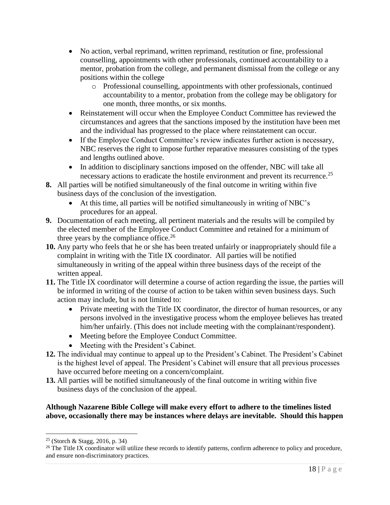- No action, verbal reprimand, written reprimand, restitution or fine, professional counselling, appointments with other professionals, continued accountability to a mentor, probation from the college, and permanent dismissal from the college or any positions within the college
	- o Professional counselling, appointments with other professionals, continued accountability to a mentor, probation from the college may be obligatory for one month, three months, or six months.
- Reinstatement will occur when the Employee Conduct Committee has reviewed the circumstances and agrees that the sanctions imposed by the institution have been met and the individual has progressed to the place where reinstatement can occur.
- If the Employee Conduct Committee's review indicates further action is necessary, NBC reserves the right to impose further reparative measures consisting of the types and lengths outlined above.
- In addition to disciplinary sanctions imposed on the offender, NBC will take all necessary actions to eradicate the hostile environment and prevent its recurrence.<sup>25</sup>
- **8.** All parties will be notified simultaneously of the final outcome in writing within five business days of the conclusion of the investigation.
	- At this time, all parties will be notified simultaneously in writing of NBC's procedures for an appeal.
- **9.** Documentation of each meeting, all pertinent materials and the results will be compiled by the elected member of the Employee Conduct Committee and retained for a minimum of three years by the compliance office.<sup>26</sup>
- **10.** Any party who feels that he or she has been treated unfairly or inappropriately should file a complaint in writing with the Title IX coordinator. All parties will be notified simultaneously in writing of the appeal within three business days of the receipt of the written appeal.
- **11.** The Title IX coordinator will determine a course of action regarding the issue, the parties will be informed in writing of the course of action to be taken within seven business days. Such action may include, but is not limited to:
	- Private meeting with the Title IX coordinator, the director of human resources, or any persons involved in the investigative process whom the employee believes has treated him/her unfairly. (This does not include meeting with the complainant/respondent).
	- Meeting before the Employee Conduct Committee.
	- Meeting with the President's Cabinet.
- **12.** The individual may continue to appeal up to the President's Cabinet. The President's Cabinet is the highest level of appeal. The President's Cabinet will ensure that all previous processes have occurred before meeting on a concern/complaint.
- **13.** All parties will be notified simultaneously of the final outcome in writing within five business days of the conclusion of the appeal.

# **Although Nazarene Bible College will make every effort to adhere to the timelines listed above, occasionally there may be instances where delays are inevitable. Should this happen**

<sup>25</sup> (Storch & Stagg, 2016, p. 34)

<sup>&</sup>lt;sup>26</sup> The Title IX coordinator will utilize these records to identify patterns, confirm adherence to policy and procedure, and ensure non-discriminatory practices.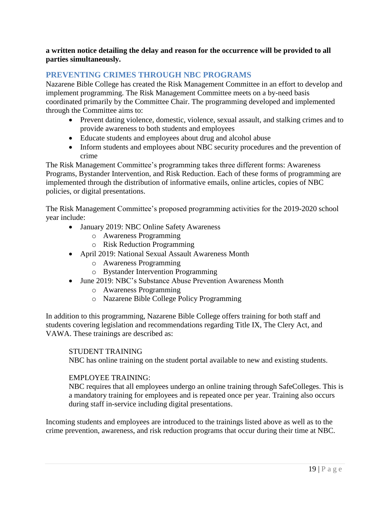#### **a written notice detailing the delay and reason for the occurrence will be provided to all parties simultaneously.**

# <span id="page-19-0"></span>**PREVENTING CRIMES THROUGH NBC PROGRAMS**

Nazarene Bible College has created the Risk Management Committee in an effort to develop and implement programming. The Risk Management Committee meets on a by-need basis coordinated primarily by the Committee Chair. The programming developed and implemented through the Committee aims to:

- Prevent dating violence, domestic, violence, sexual assault, and stalking crimes and to provide awareness to both students and employees
- Educate students and employees about drug and alcohol abuse
- Inform students and employees about NBC security procedures and the prevention of crime

The Risk Management Committee's programming takes three different forms: Awareness Programs, Bystander Intervention, and Risk Reduction. Each of these forms of programming are implemented through the distribution of informative emails, online articles, copies of NBC policies, or digital presentations.

The Risk Management Committee's proposed programming activities for the 2019-2020 school year include:

- January 2019: NBC Online Safety Awareness
	- o Awareness Programming
	- o Risk Reduction Programming
- April 2019: National Sexual Assault Awareness Month
	- o Awareness Programming
	- o Bystander Intervention Programming
- June 2019: NBC's Substance Abuse Prevention Awareness Month
	- o Awareness Programming
	- o Nazarene Bible College Policy Programming

In addition to this programming, Nazarene Bible College offers training for both staff and students covering legislation and recommendations regarding Title IX, The Clery Act, and VAWA. These trainings are described as:

#### STUDENT TRAINING

NBC has online training on the student portal available to new and existing students.

#### EMPLOYEE TRAINING:

NBC requires that all employees undergo an online training through SafeColleges. This is a mandatory training for employees and is repeated once per year. Training also occurs during staff in-service including digital presentations.

Incoming students and employees are introduced to the trainings listed above as well as to the crime prevention, awareness, and risk reduction programs that occur during their time at NBC.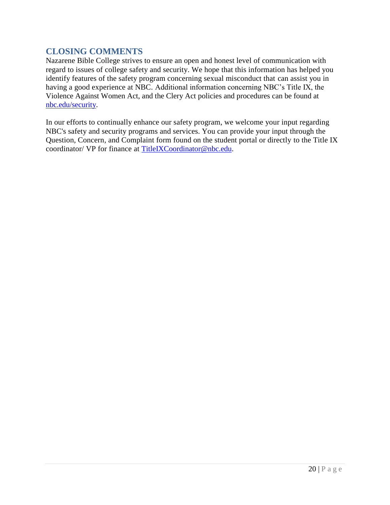# <span id="page-20-0"></span>**CLOSING COMMENTS**

Nazarene Bible College strives to ensure an open and honest level of communication with regard to issues of college safety and security. We hope that this information has helped you identify features of the safety program concerning sexual misconduct that can assist you in having a good experience at NBC. Additional information concerning NBC's Title IX, the Violence Against Women Act, and the Clery Act policies and procedures can be found at [nbc.edu/security.](http://www.nbc.edu/security/)

In our efforts to continually enhance our safety program, we welcome your input regarding NBC's safety and security programs and services. You can provide your input through the Question, Concern, and Complaint form found on the student portal or directly to the Title IX coordinator/ VP for finance at [TitleIXCoordinator@nbc.edu.](mailto:TitleIXCoordinator@nbc.edu)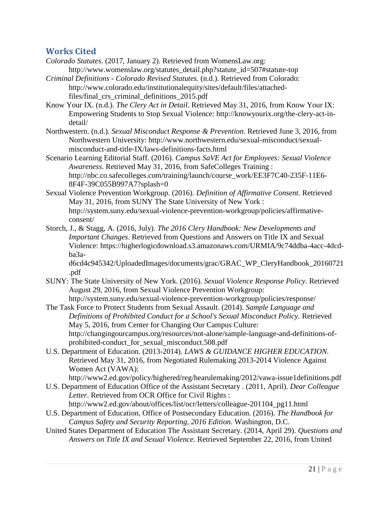# <span id="page-21-0"></span>**Works Cited**

- *Colorado Statutes*. (2017, January 2). Retrieved from WomensLaw.org: http://www.womenslaw.org/statutes\_detail.php?statute\_id=507#statute-top
- *Criminal Definitions - Colorado Revised Statutes.* (n.d.). Retrieved from Colorado: http://www.colorado.edu/institutionalequity/sites/default/files/attachedfiles/final\_crs\_criminal\_definitions\_2015.pdf
- Know Your IX. (n.d.). *The Clery Act in Detail*. Retrieved May 31, 2016, from Know Your IX: Empowering Students to Stop Sexual Violence: http://knowyourix.org/the-clery-act-indetail/
- Northwestern. (n.d.). *Sexual Misconduct Response & Prevention*. Retrieved June 3, 2016, from Northwestern University: http://www.northwestern.edu/sexual-misconduct/sexualmisconduct-and-title-IX/laws-definitions-facts.html
- Scenario Learning Editorial Staff. (2016). *Campus SaVE Act for Employees: Sexual Violence Awareness*. Retrieved May 31, 2016, from SafeColleges Training : http://nbc.co.safecolleges.com/training/launch/course\_work/EE3F7C40-235F-11E6- 8F4F-39C055B997A7?splash=0
- Sexual Violence Prevention Workgroup. (2016). *Definition of Affirmative Consent*. Retrieved May 31, 2016, from SUNY The State University of New York : http://system.suny.edu/sexual-violence-prevention-workgroup/policies/affirmativeconsent/
- Storch, J., & Stagg, A. (2016, July). *The 2016 Clery Handbook: New Developments and Important Changes*. Retrieved from Questions and Answers on Title IX and Sexual Violence: https://higherlogicdownload.s3.amazonaws.com/URMIA/9c74ddba-4acc-4dcdba3a-

d6cd4c945342/UploadedImages/documents/grac/GRAC\_WP\_CleryHandbook\_20160721 .pdf

- SUNY: The State University of New York. (2016). *Sexual Violence Response Policy.* Retrieved August 29, 2016, from Sexual Violence Prevention Workgroup: http://system.suny.edu/sexual-violence-prevention-workgroup/policies/response/
- The Task Force to Protect Students from Sexual Assault. (2014). *Sample Language and Definitions of Prohibited Conduct for a School's Sexual Misconduct Policy.* Retrieved May 5, 2016, from Center for Changing Our Campus Culture: http://changingourcampus.org/resources/not-alone/sample-language-and-definitions-ofprohibited-conduct\_for\_sexual\_misconduct.508.pdf
- U.S. Department of Education. (2013-2014). *LAWS & GUIDANCE HIGHER EDUCATION.* Retrieved May 31, 2016, from Negotiated Rulemaking 2013-2014 Violence Against Women Act (VAWA):

http://www2.ed.gov/policy/highered/reg/hearulemaking/2012/vawa-issue1definitions.pdf U.S. Department of Education Office of the Assistant Secretary . (2011, April). *Dear Colleague* 

- *Letter*. Retrieved from OCR Office for Civil Rights : http://www2.ed.gov/about/offices/list/ocr/letters/colleague-201104\_pg11.html
- U.S. Department of Education, Office of Postsecondary Education. (2016). *The Handbook for Campus Safety and Security Reporting, 2016 Edition.* Washington, D.C.
- United States Department of Education The Assistant Secretary. (2014, April 29). *Questions and Answers on Title IX and Sexual Violence.* Retrieved September 22, 2016, from United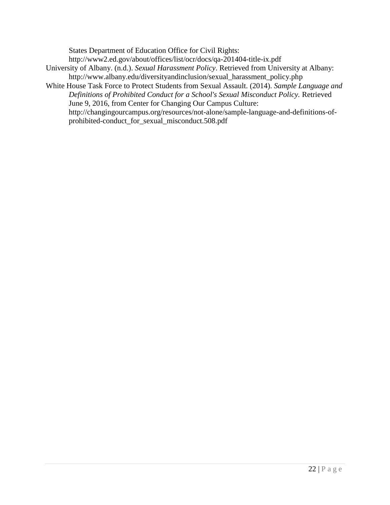States Department of Education Office for Civil Rights: http://www2.ed.gov/about/offices/list/ocr/docs/qa-201404-title-ix.pdf

- University of Albany. (n.d.). *Sexual Harassment Policy*. Retrieved from University at Albany: http://www.albany.edu/diversityandinclusion/sexual\_harassment\_policy.php
- White House Task Force to Protect Students from Sexual Assault. (2014). *Sample Language and Definitions of Prohibited Conduct for a School's Sexual Misconduct Policy.* Retrieved June 9, 2016, from Center for Changing Our Campus Culture: http://changingourcampus.org/resources/not-alone/sample-language-and-definitions-ofprohibited-conduct\_for\_sexual\_misconduct.508.pdf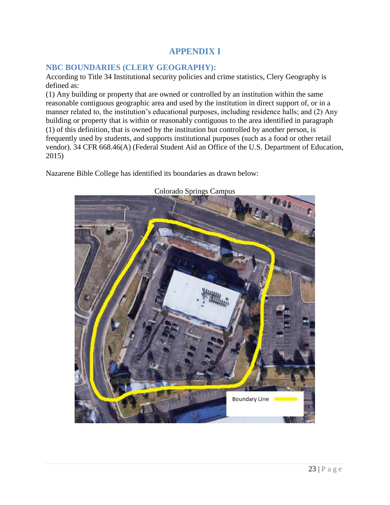# **APPENDIX I**

# <span id="page-23-1"></span><span id="page-23-0"></span>**NBC BOUNDARIES (CLERY GEOGRAPHY):**

According to Title 34 Institutional security policies and crime statistics, Clery Geography is defined as:

(1) Any building or property that are owned or controlled by an institution within the same reasonable contiguous geographic area and used by the institution in direct support of, or in a manner related to, the institution's educational purposes, including residence halls; and (2) Any building or property that is within or reasonably contiguous to the area identified in paragraph (1) of this definition, that is owned by the institution but controlled by another person, is frequently used by students, and supports institutional purposes (such as a food or other retail vendor). 34 CFR 668.46(A) (Federal Student Aid an Office of the U.S. Department of Education, 2015)

Nazarene Bible College has identified its boundaries as drawn below:



Colorado Springs Campus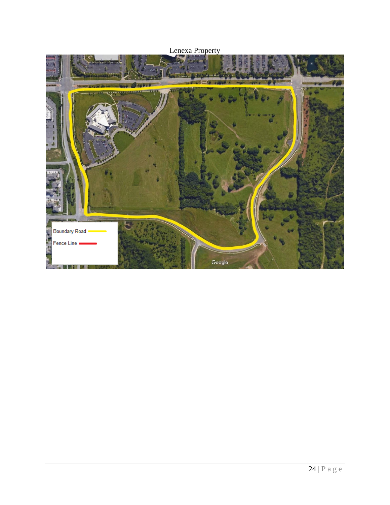Lenexa Property

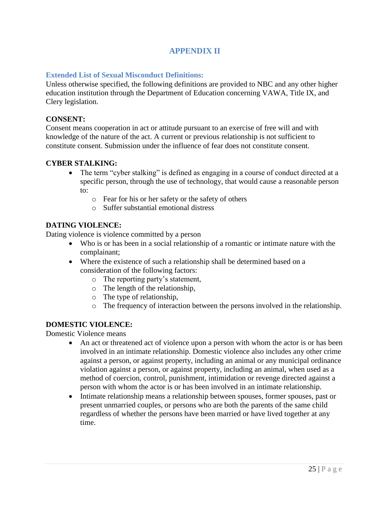# **APPENDIX II**

# <span id="page-25-1"></span><span id="page-25-0"></span>**Extended List of Sexual Misconduct Definitions:**

Unless otherwise specified, the following definitions are provided to NBC and any other higher education institution through the Department of Education concerning VAWA, Title IX, and Clery legislation.

#### **CONSENT:**

Consent means cooperation in act or attitude pursuant to an exercise of free will and with knowledge of the nature of the act. A current or previous relationship is not sufficient to constitute consent. Submission under the influence of fear does not constitute consent.

#### **CYBER STALKING:**

- The term "cyber stalking" is defined as engaging in a course of conduct directed at a specific person, through the use of technology, that would cause a reasonable person to:
	- o Fear for his or her safety or the safety of others
	- o Suffer substantial emotional distress

#### **DATING VIOLENCE:**

Dating violence is violence committed by a person

- Who is or has been in a social relationship of a romantic or intimate nature with the complainant;
- Where the existence of such a relationship shall be determined based on a consideration of the following factors:
	- o The reporting party's statement,
	- o The length of the relationship,
	- o The type of relationship,
	- o The frequency of interaction between the persons involved in the relationship.

# **DOMESTIC VIOLENCE:**

Domestic Violence means

- An act or threatened act of violence upon a person with whom the actor is or has been involved in an intimate relationship. Domestic violence also includes any other crime against a person, or against property, including an animal or any municipal ordinance violation against a person, or against property, including an animal, when used as a method of coercion, control, punishment, intimidation or revenge directed against a person with whom the actor is or has been involved in an intimate relationship.
- Intimate relationship means a relationship between spouses, former spouses, past or present unmarried couples, or persons who are both the parents of the same child regardless of whether the persons have been married or have lived together at any time.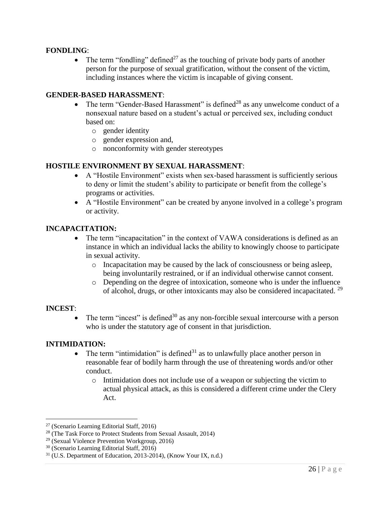#### **FONDLING**:

The term "fondling" defined<sup>27</sup> as the touching of private body parts of another person for the purpose of sexual gratification, without the consent of the victim, including instances where the victim is incapable of giving consent.

#### **GENDER-BASED HARASSMENT**:

- The term "Gender-Based Harassment" is defined<sup>28</sup> as any unwelcome conduct of a nonsexual nature based on a student's actual or perceived sex, including conduct based on:
	- o gender identity
	- o gender expression and,
	- o nonconformity with gender stereotypes

#### **HOSTILE ENVIRONMENT BY SEXUAL HARASSMENT**:

- A "Hostile Environment" exists when sex-based harassment is sufficiently serious to deny or limit the student's ability to participate or benefit from the college's programs or activities.
- A "Hostile Environment" can be created by anyone involved in a college's program or activity.

#### **INCAPACITATION:**

- The term "incapacitation" in the context of VAWA considerations is defined as an instance in which an individual lacks the ability to knowingly choose to participate in sexual activity.
	- $\circ$  Incapacitation may be caused by the lack of consciousness or being asleep, being involuntarily restrained, or if an individual otherwise cannot consent.
	- o Depending on the degree of intoxication, someone who is under the influence of alcohol, drugs, or other intoxicants may also be considered incapacitated. <sup>29</sup>

#### **INCEST**:

 $\overline{a}$ 

• The term "incest" is defined<sup>30</sup> as any non-forcible sexual intercourse with a person who is under the statutory age of consent in that jurisdiction.

#### **INTIMIDATION:**

- The term "intimidation" is defined<sup>31</sup> as to unlawfully place another person in reasonable fear of bodily harm through the use of threatening words and/or other conduct.
	- o Intimidation does not include use of a weapon or subjecting the victim to actual physical attack, as this is considered a different crime under the Clery Act.

<sup>27</sup> (Scenario Learning Editorial Staff, 2016)

<sup>28</sup> (The Task Force to Protect Students from Sexual Assault, 2014)

<sup>29</sup> (Sexual Violence Prevention Workgroup, 2016)

<sup>30</sup> (Scenario Learning Editorial Staff, 2016)

 $31$  (U.S. Department of Education, 2013-2014), (Know Your IX, n.d.)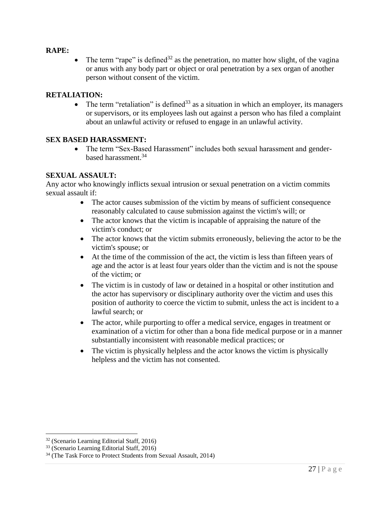#### **RAPE:**

The term "rape" is defined<sup>32</sup> as the penetration, no matter how slight, of the vagina or anus with any body part or object or oral penetration by a sex organ of another person without consent of the victim.

### **RETALIATION:**

• The term "retaliation" is defined<sup>33</sup> as a situation in which an employer, its managers or supervisors, or its employees lash out against a person who has filed a complaint about an unlawful activity or refused to engage in an unlawful activity.

#### **SEX BASED HARASSMENT:**

• The term "Sex-Based Harassment" includes both sexual harassment and genderbased harassment. 34

#### **SEXUAL ASSAULT:**

Any actor who knowingly inflicts sexual intrusion or sexual penetration on a victim commits sexual assault if:

- The actor causes submission of the victim by means of sufficient consequence reasonably calculated to cause submission against the victim's will; or
- The actor knows that the victim is incapable of appraising the nature of the victim's conduct; or
- The actor knows that the victim submits erroneously, believing the actor to be the victim's spouse; or
- At the time of the commission of the act, the victim is less than fifteen years of age and the actor is at least four years older than the victim and is not the spouse of the victim; or
- The victim is in custody of law or detained in a hospital or other institution and the actor has supervisory or disciplinary authority over the victim and uses this position of authority to coerce the victim to submit, unless the act is incident to a lawful search; or
- The actor, while purporting to offer a medical service, engages in treatment or examination of a victim for other than a bona fide medical purpose or in a manner substantially inconsistent with reasonable medical practices; or
- The victim is physically helpless and the actor knows the victim is physically helpless and the victim has not consented.

<sup>32</sup> (Scenario Learning Editorial Staff, 2016)

<sup>33</sup> (Scenario Learning Editorial Staff, 2016)

<sup>34</sup> (The Task Force to Protect Students from Sexual Assault, 2014)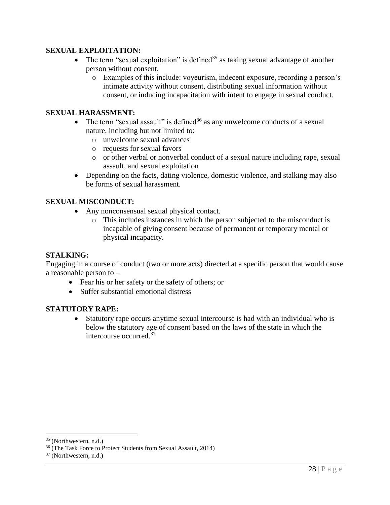### **SEXUAL EXPLOITATION:**

- The term "sexual exploitation" is defined<sup>35</sup> as taking sexual advantage of another person without consent.
	- o Examples of this include: voyeurism, indecent exposure, recording a person's intimate activity without consent, distributing sexual information without consent, or inducing incapacitation with intent to engage in sexual conduct.

### **SEXUAL HARASSMENT:**

- The term "sexual assault" is defined<sup>36</sup> as any unwelcome conducts of a sexual nature, including but not limited to:
	- o unwelcome sexual advances
	- o requests for sexual favors
	- o or other verbal or nonverbal conduct of a sexual nature including rape, sexual assault, and sexual exploitation
- Depending on the facts, dating violence, domestic violence, and stalking may also be forms of sexual harassment.

# **SEXUAL MISCONDUCT:**

- Any nonconsensual sexual physical contact.
	- o This includes instances in which the person subjected to the misconduct is incapable of giving consent because of permanent or temporary mental or physical incapacity.

#### **STALKING:**

Engaging in a course of conduct (two or more acts) directed at a specific person that would cause a reasonable person to –

- Fear his or her safety or the safety of others; or
- Suffer substantial emotional distress

#### **STATUTORY RAPE:**

• Statutory rape occurs anytime sexual intercourse is had with an individual who is below the statutory age of consent based on the laws of the state in which the intercourse occurred.<sup>37</sup>

<sup>35</sup> (Northwestern, n.d.)

<sup>36</sup> (The Task Force to Protect Students from Sexual Assault, 2014)

<sup>37</sup> (Northwestern, n.d.)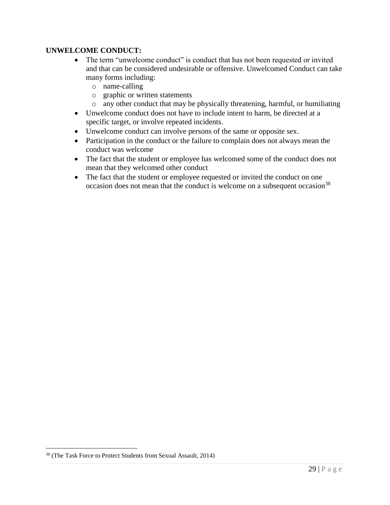# **UNWELCOME CONDUCT:**

- The term "unwelcome conduct" is conduct that has not been requested or invited and that can be considered undesirable or offensive. Unwelcomed Conduct can take many forms including:
	- o name-calling
	- o graphic or written statements
	- o any other conduct that may be physically threatening, harmful, or humiliating
- Unwelcome conduct does not have to include intent to harm, be directed at a specific target, or involve repeated incidents.
- Unwelcome conduct can involve persons of the same or opposite sex.
- Participation in the conduct or the failure to complain does not always mean the conduct was welcome
- The fact that the student or employee has welcomed some of the conduct does not mean that they welcomed other conduct
- The fact that the student or employee requested or invited the conduct on one occasion does not mean that the conduct is welcome on a subsequent occasion<sup>38</sup>

<sup>38</sup> (The Task Force to Protect Students from Sexual Assault, 2014)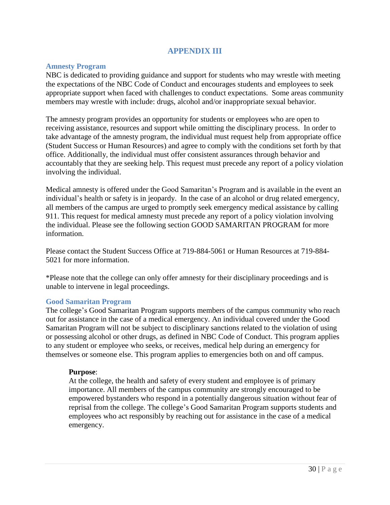# **APPENDIX III**

#### <span id="page-30-1"></span><span id="page-30-0"></span>**Amnesty Program**

NBC is dedicated to providing guidance and support for students who may wrestle with meeting the expectations of the NBC Code of Conduct and encourages students and employees to seek appropriate support when faced with challenges to conduct expectations. Some areas community members may wrestle with include: drugs, alcohol and/or inappropriate sexual behavior.

The amnesty program provides an opportunity for students or employees who are open to receiving assistance, resources and support while omitting the disciplinary process. In order to take advantage of the amnesty program, the individual must request help from appropriate office (Student Success or Human Resources) and agree to comply with the conditions set forth by that office. Additionally, the individual must offer consistent assurances through behavior and accountably that they are seeking help. This request must precede any report of a policy violation involving the individual.

Medical amnesty is offered under the Good Samaritan's Program and is available in the event an individual's health or safety is in jeopardy. In the case of an alcohol or drug related emergency, all members of the campus are urged to promptly seek emergency medical assistance by calling 911. This request for medical amnesty must precede any report of a policy violation involving the individual. Please see the following section GOOD SAMARITAN PROGRAM for more information.

Please contact the Student Success Office at 719-884-5061 or Human Resources at 719-884- 5021 for more information.

\*Please note that the college can only offer amnesty for their disciplinary proceedings and is unable to intervene in legal proceedings.

#### <span id="page-30-2"></span>**Good Samaritan Program**

The college's Good Samaritan Program supports members of the campus community who reach out for assistance in the case of a medical emergency. An individual covered under the Good Samaritan Program will not be subject to disciplinary sanctions related to the violation of using or possessing alcohol or other drugs, as defined in NBC Code of Conduct. This program applies to any student or employee who seeks, or receives, medical help during an emergency for themselves or someone else. This program applies to emergencies both on and off campus.

#### **Purpose**:

At the college, the health and safety of every student and employee is of primary importance. All members of the campus community are strongly encouraged to be empowered bystanders who respond in a potentially dangerous situation without fear of reprisal from the college. The college's Good Samaritan Program supports students and employees who act responsibly by reaching out for assistance in the case of a medical emergency.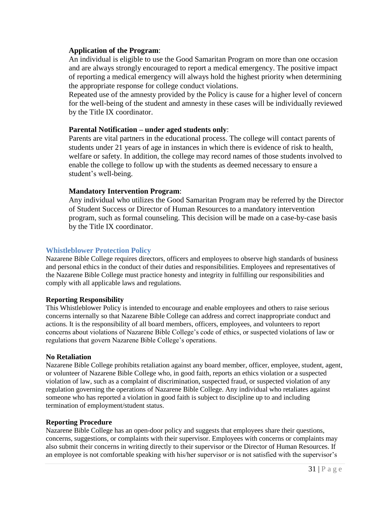#### **Application of the Program**:

An individual is eligible to use the Good Samaritan Program on more than one occasion and are always strongly encouraged to report a medical emergency. The positive impact of reporting a medical emergency will always hold the highest priority when determining the appropriate response for college conduct violations.

Repeated use of the amnesty provided by the Policy is cause for a higher level of concern for the well-being of the student and amnesty in these cases will be individually reviewed by the Title IX coordinator.

#### **Parental Notification – under aged students only**:

Parents are vital partners in the educational process. The college will contact parents of students under 21 years of age in instances in which there is evidence of risk to health, welfare or safety. In addition, the college may record names of those students involved to enable the college to follow up with the students as deemed necessary to ensure a student's well-being.

#### **Mandatory Intervention Program**:

Any individual who utilizes the Good Samaritan Program may be referred by the Director of Student Success or Director of Human Resources to a mandatory intervention program, such as formal counseling. This decision will be made on a case-by-case basis by the Title IX coordinator.

#### <span id="page-31-0"></span>**Whistleblower Protection Policy**

Nazarene Bible College requires directors, officers and employees to observe high standards of business and personal ethics in the conduct of their duties and responsibilities. Employees and representatives of the Nazarene Bible College must practice honesty and integrity in fulfilling our responsibilities and comply with all applicable laws and regulations.

#### **Reporting Responsibility**

This Whistleblower Policy is intended to encourage and enable employees and others to raise serious concerns internally so that Nazarene Bible College can address and correct inappropriate conduct and actions. It is the responsibility of all board members, officers, employees, and volunteers to report concerns about violations of Nazarene Bible College's code of ethics, or suspected violations of law or regulations that govern Nazarene Bible College's operations.

#### **No Retaliation**

Nazarene Bible College prohibits retaliation against any board member, officer, employee, student, agent, or volunteer of Nazarene Bible College who, in good faith, reports an ethics violation or a suspected violation of law, such as a complaint of discrimination, suspected fraud, or suspected violation of any regulation governing the operations of Nazarene Bible College. Any individual who retaliates against someone who has reported a violation in good faith is subject to discipline up to and including termination of employment/student status.

#### **Reporting Procedure**

Nazarene Bible College has an open-door policy and suggests that employees share their questions, concerns, suggestions, or complaints with their supervisor. Employees with concerns or complaints may also submit their concerns in writing directly to their supervisor or the Director of Human Resources. If an employee is not comfortable speaking with his/her supervisor or is not satisfied with the supervisor's